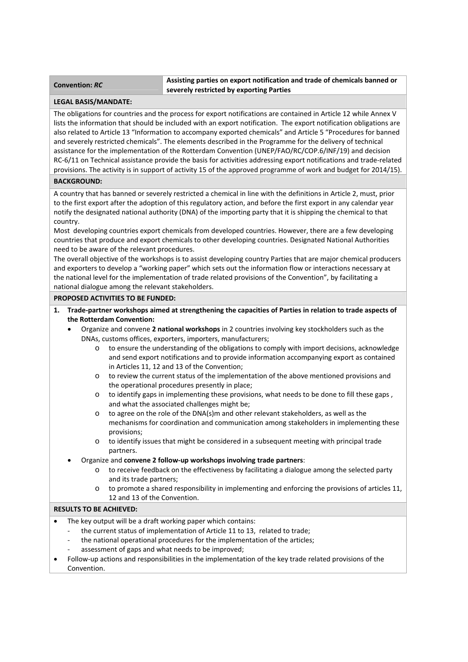# **Convention:** *RC* **Assisting parties on export notification and trade of chemicals banned or severely restricted by exporting Parties**

### **LEGAL BASIS/MANDATE:**

The obligations for countries and the process for export notifications are contained in Article 12 while Annex V lists the information that should be included with an export notification. The export notification obligations are also related to Article 13 "Information to accompany exported chemicals" and Article 5 "Procedures for banned and severely restricted chemicals". The elements described in the Programme for the delivery of technical assistance for the implementation of the Rotterdam Convention (UNEP/FAO/RC/COP.6/INF/19) and decision RC‐6/11 on Technical assistance provide the basis for activities addressing export notifications and trade‐related provisions. The activity is in support of activity 15 of the approved programme of work and budget for 2014/15).

# **BACKGROUND:**

A country that has banned or severely restricted a chemical in line with the definitions in Article 2, must, prior to the first export after the adoption of this regulatory action, and before the first export in any calendar year notify the designated national authority (DNA) of the importing party that it is shipping the chemical to that country.

Most developing countries export chemicals from developed countries. However, there are a few developing countries that produce and export chemicals to other developing countries. Designated National Authorities need to be aware of the relevant procedures.

The overall objective of the workshops is to assist developing country Parties that are major chemical producers and exporters to develop a "working paper" which sets out the information flow or interactions necessary at the national level for the implementation of trade related provisions of the Convention", by facilitating a national dialogue among the relevant stakeholders.

### **PROPOSED ACTIVITIES TO BE FUNDED:**

- 1. Trade-partner workshops aimed at strengthening the capacities of Parties in relation to trade aspects of **the Rotterdam Convention:**
	- Organize and convene **2 national workshops** in 2 countries involving key stockholders such as the DNAs, customs offices, exporters, importers, manufacturers;
		- o to ensure the understanding of the obligations to comply with import decisions, acknowledge and send export notifications and to provide information accompanying export as contained in Articles 11, 12 and 13 of the Convention;
		- o to review the current status of the implementation of the above mentioned provisions and the operational procedures presently in place;
		- $\circ$  to identify gaps in implementing these provisions, what needs to be done to fill these gaps, and what the associated challenges might be;
		- o to agree on the role of the DNA(s)m and other relevant stakeholders, as well as the mechanisms for coordination and communication among stakeholders in implementing these provisions;
		- o to identify issues that might be considered in a subsequent meeting with principal trade partners.
	- Organize and **convene 2 follow‐up workshops involving trade partners**:
		- $\circ$  to receive feedback on the effectiveness by facilitating a dialogue among the selected party and its trade partners;
		- o to promote a shared responsibility in implementing and enforcing the provisions of articles 11, 12 and 13 of the Convention.

## **RESULTS TO BE ACHIEVED:**

- The key output will be a draft working paper which contains:
	- the current status of implementation of Article 11 to 13, related to trade;
	- the national operational procedures for the implementation of the articles:
	- ‐ assessment of gaps and what needs to be improved;
- Follow‐up actions and responsibilities in the implementation of the key trade related provisions of the Convention.